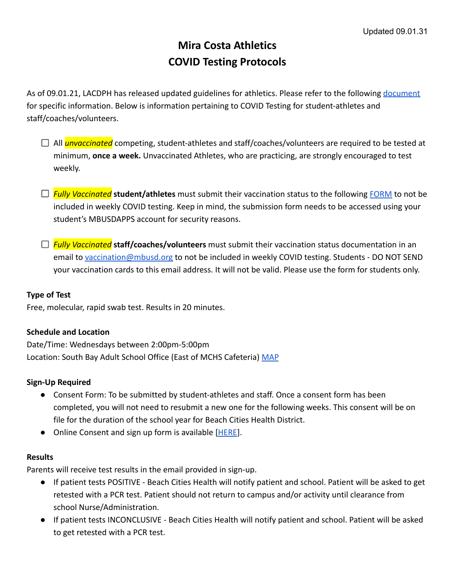# **Mira Costa Athletics COVID Testing Protocols**

As of 09.01.21, LACDPH has released updated guidelines for athletics. Please refer to the following [document](http://www.publichealth.lacounty.gov/media/Coronavirus/docs/protocols/Reopening_YouthSports.pdf) for specific information. Below is information pertaining to COVID Testing for student-athletes and staff/coaches/volunteers.

- □ All *unvaccinated* competing, student-athletes and staff/coaches/volunteers are required to be tested at minimum, **once a week.** Unvaccinated Athletes, who are practicing, are strongly encouraged to test weekly.
- *Fully Vaccinated* **student/athletes** must submit their vaccination status to the following [FORM](https://docs.google.com/forms/d/e/1FAIpQLSet3JKeuHiC1Q5YbC6jw2b3WfJraC5p93j6C3yQ2HJYvt7RmQ/viewform) to not be included in weekly COVID testing. Keep in mind, the submission form needs to be accessed using your student's MBUSDAPPS account for security reasons.
- *Fully Vaccinated* **staff/coaches/volunteers** must submit their vaccination status documentation in an email to [vaccination@mbusd.org](mailto:vaccination@mbusd.org) to not be included in weekly COVID testing. Students - DO NOT SEND your vaccination cards to this email address. It will not be valid. Please use the form for students only.

## **Type of Test**

Free, molecular, rapid swab test. Results in 20 minutes.

## **Schedule and Location**

Date/Time: Wednesdays between 2:00pm-5:00pm Location: South Bay Adult School Office (East of MCHS Cafeteria) [MAP](https://drive.google.com/file/d/1UMZ57VFYQqDaQmy2nePVDnd0UlskYRD7/view?usp=sharing)

### **Sign-Up Required**

- Consent Form: To be submitted by student-athletes and staff. Once a consent form has been completed, you will not need to resubmit a new one for the following weeks. This consent will be on file for the duration of the school year for Beach Cities Health District.
- Online Consent and sign up form is available [\[HERE](https://app.smartsheet.com/b/form/eb6676019c484a04a24f28b156f63f11)].

## **Results**

Parents will receive test results in the email provided in sign-up.

- If patient tests POSITIVE Beach Cities Health will notify patient and school. Patient will be asked to get retested with a PCR test. Patient should not return to campus and/or activity until clearance from school Nurse/Administration.
- If patient tests INCONCLUSIVE Beach Cities Health will notify patient and school. Patient will be asked to get retested with a PCR test.